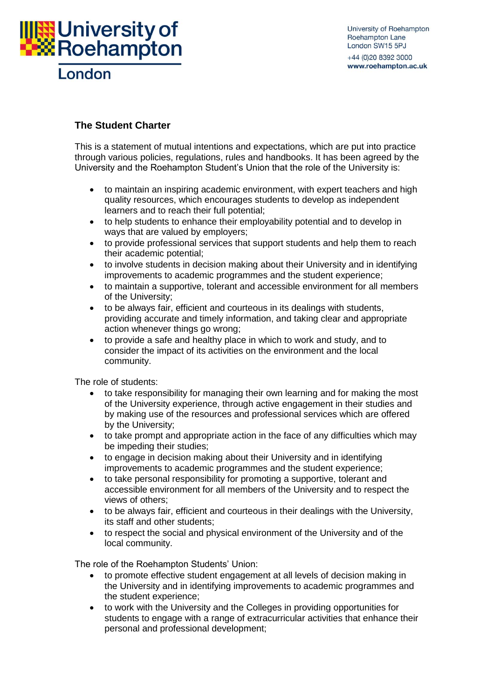

## **The Student Charter**

This is a statement of mutual intentions and expectations, which are put into practice through various [policies, regulations, rules and handbooks.](http://www.roehampton.ac.uk/corporate-information/Policies/) It has been agreed by the University and the Roehampton Student's Union that the role of the University is:

- to maintain an inspiring academic environment, with expert teachers and high quality resources, which encourages students to develop as independent learners and to reach their full potential;
- to help students to enhance their employability potential and to develop in ways that are valued by employers;
- to provide professional services that support students and help them to reach their academic potential;
- to involve students in decision making about their University and in identifying improvements to academic programmes and the student experience;
- to maintain a supportive, tolerant and accessible environment for all members of the University;
- to be always fair, efficient and courteous in its dealings with students, providing accurate and timely information, and taking clear and appropriate action whenever things go wrong;
- to provide a safe and healthy place in which to work and study, and to consider the impact of its activities on the environment and the local community.

The role of students:

- to take responsibility for managing their own learning and for making the most of the University experience, through active engagement in their studies and by making use of the resources and professional services which are offered by the University;
- to take prompt and appropriate action in the face of any difficulties which may be impeding their studies;
- to engage in decision making about their University and in identifying improvements to academic programmes and the student experience;
- to take personal responsibility for promoting a supportive, tolerant and accessible environment for all members of the University and to respect the views of others;
- to be always fair, efficient and courteous in their dealings with the University, its staff and other students;
- to respect the social and physical environment of the University and of the local community.

The role of the Roehampton Students' Union:

- to promote effective student engagement at all levels of decision making in the University and in identifying improvements to academic programmes and the student experience;
- to work with the University and the Colleges in providing opportunities for students to engage with a range of extracurricular activities that enhance their personal and professional development;